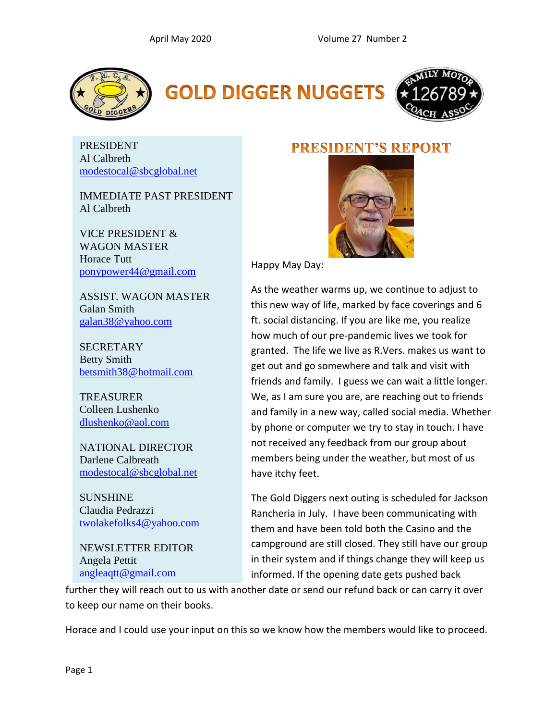





PRESIDENT Al Calbreth [modestocal@sbcglobal.net](file:///F:/Desktop/FMCA/Newsletters/modestocal@sbcglobal.net)

IMMEDIATE PAST PRESIDENT Al Calbreth

VICE PRESIDENT & WAGON MASTER Horace Tutt [ponypower44@gmail.com](mailto:ponypower44@gmail.com)

ASSIST. WAGON MASTER Galan Smith [galan38@yahoo.com](mailto:galan38@yahoo.com)

**SECRETARY** Betty Smith [betsmith38@hotmail.com](mailto:betsmith38@hotmail.com)

**TREASURER** Colleen Lushenko [dlushenko@aol.com](mailto:dlushenko@aol.com)

NATIONAL DIRECTOR Darlene Calbreath [modestocal@sbcglobal.net](mailto:modestocal@sbcglobal.net)

**SUNSHINE** Claudia Pedrazzi [twolakefolks4@yahoo.com](mailto:twolakefolks4@yahoo.com)

NEWSLETTER EDITOR Angela Pettit [angleaqtt@gmail.com](mailto:angleaqtt@gmail.com)

### **PRESIDENT'S REPORT**



Happy May Day:

As the weather warms up, we continue to adjust to this new way of life, marked by face coverings and 6 ft. social distancing. If you are like me, you realize how much of our pre-pandemic lives we took for granted. The life we live as R.Vers. makes us want to get out and go somewhere and talk and visit with friends and family. I guess we can wait a little longer. We, as I am sure you are, are reaching out to friends and family in a new way, called social media. Whether by phone or computer we try to stay in touch. I have not received any feedback from our group about members being under the weather, but most of us have itchy feet.

The Gold Diggers next outing is scheduled for Jackson Rancheria in July. I have been communicating with them and have been told both the Casino and the campground are still closed. They still have our group in their system and if things change they will keep us informed. If the opening date gets pushed back

further they will reach out to us with another date or send our refund back or can carry it over to keep our name on their books.

Horace and I could use your input on this so we know how the members would like to proceed.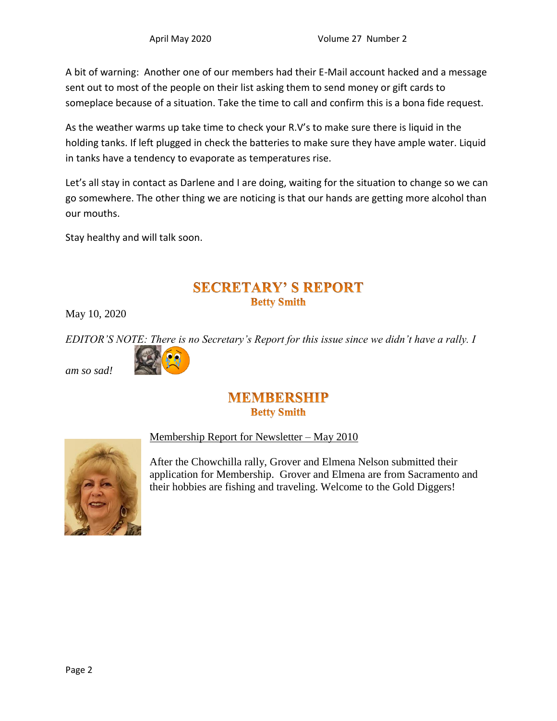A bit of warning: Another one of our members had their E-Mail account hacked and a message sent out to most of the people on their list asking them to send money or gift cards to someplace because of a situation. Take the time to call and confirm this is a bona fide request.

As the weather warms up take time to check your R.V's to make sure there is liquid in the holding tanks. If left plugged in check the batteries to make sure they have ample water. Liquid in tanks have a tendency to evaporate as temperatures rise.

Let's all stay in contact as Darlene and I are doing, waiting for the situation to change so we can go somewhere. The other thing we are noticing is that our hands are getting more alcohol than our mouths.

Stay healthy and will talk soon.

### **SECRETARY' S REPORT Betty Smith**

May 10, 2020

*EDITOR'S NOTE: There is no Secretary's Report for this issue since we didn't have a rally. I* 



#### *am so sad!*

#### **MEMBERSHIP Betty Smith**



Membership Report for Newsletter – May 2010

After the Chowchilla rally, Grover and Elmena Nelson submitted their application for Membership. Grover and Elmena are from Sacramento and their hobbies are fishing and traveling. Welcome to the Gold Diggers!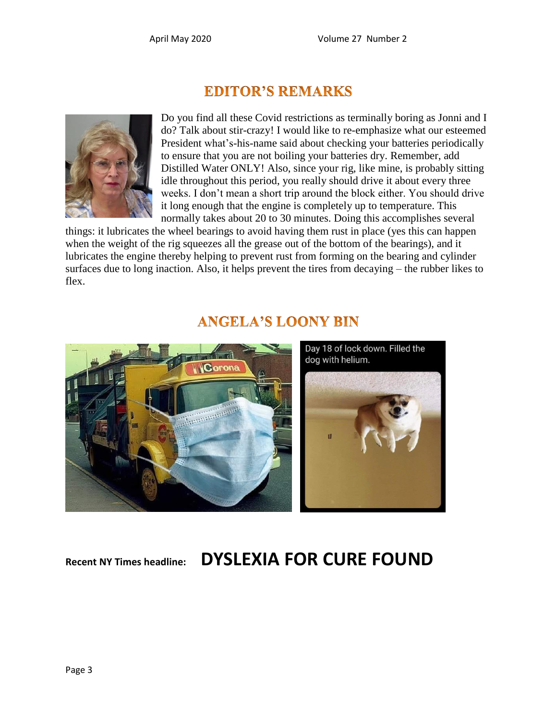## **EDITOR'S REMARKS**



Do you find all these Covid restrictions as terminally boring as Jonni and I do? Talk about stir-crazy! I would like to re-emphasize what our esteemed President what's-his-name said about checking your batteries periodically to ensure that you are not boiling your batteries dry. Remember, add Distilled Water ONLY! Also, since your rig, like mine, is probably sitting idle throughout this period, you really should drive it about every three weeks. I don't mean a short trip around the block either. You should drive it long enough that the engine is completely up to temperature. This normally takes about 20 to 30 minutes. Doing this accomplishes several

things: it lubricates the wheel bearings to avoid having them rust in place (yes this can happen when the weight of the rig squeezes all the grease out of the bottom of the bearings), and it lubricates the engine thereby helping to prevent rust from forming on the bearing and cylinder surfaces due to long inaction. Also, it helps prevent the tires from decaying – the rubber likes to flex.



## **ANGELA'S LOONY BIN**

**Recent NY Times headline: DYSLEXIA FOR CURE FOUND**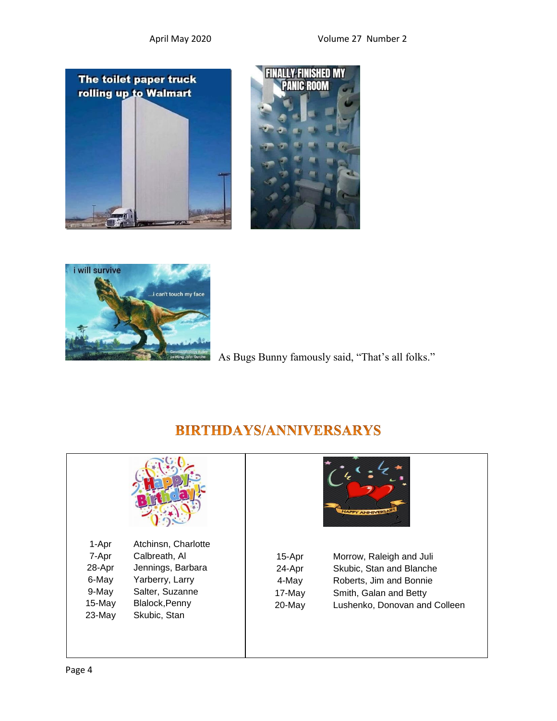





As Bugs Bunny famously said, "That's all folks."



## **BIRTHDAYS/ANNIVERSARYS**